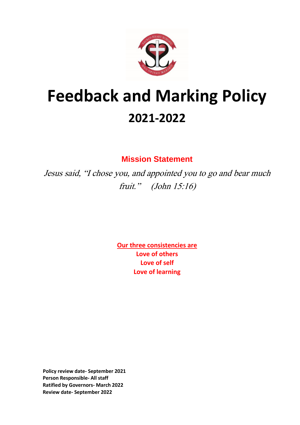

# **Feedback and Marking Policy 2021-2022**

**Mission Statement**

Jesus said, "I chose you, and appointed you to go and bear much fruit." (John 15:16)

> **Our three consistencies are Love of others Love of self Love of learning**

**Policy review date- September 2021 Person Responsible- All staff Ratified by Governors- March 2022 Review date- September 2022**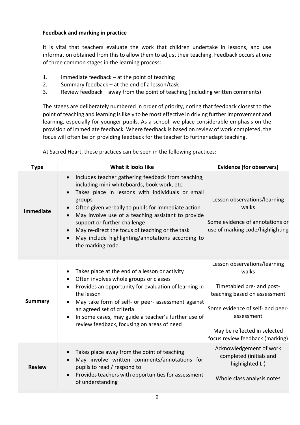# **Feedback and marking in practice**

It is vital that teachers evaluate the work that children undertake in lessons, and use information obtained from this to allow them to adjust their teaching. Feedback occurs at one of three common stages in the learning process:

- 1. Immediate feedback at the point of teaching
- 2. Summary feedback at the end of a lesson/task
- 3. Review feedback away from the point of teaching (including written comments)

The stages are deliberately numbered in order of priority, noting that feedback closest to the point of teaching and learning is likely to be most effective in driving further improvement and learning, especially for younger pupils. As a school, we place considerable emphasis on the provision of immediate feedback. Where feedback is based on review of work completed, the focus will often be on providing feedback for the teacher to further adapt teaching.

At Sacred Heart, these practices can be seen in the following practices:

| <b>Type</b>      | What it looks like                                                                                                                                                                                                                                                                                                                                                                                                                        | <b>Evidence (for observers)</b>                                                                                                                                                                                         |
|------------------|-------------------------------------------------------------------------------------------------------------------------------------------------------------------------------------------------------------------------------------------------------------------------------------------------------------------------------------------------------------------------------------------------------------------------------------------|-------------------------------------------------------------------------------------------------------------------------------------------------------------------------------------------------------------------------|
| <b>Immediate</b> | Includes teacher gathering feedback from teaching,<br>including mini-whiteboards, book work, etc.<br>Takes place in lessons with individuals or small<br>groups<br>Often given verbally to pupils for immediate action<br>May involve use of a teaching assistant to provide<br>support or further challenge<br>May re-direct the focus of teaching or the task<br>May include highlighting/annotations according to<br>the marking code. | Lesson observations/learning<br>walks<br>Some evidence of annotations or<br>use of marking code/highlighting                                                                                                            |
| <b>Summary</b>   | Takes place at the end of a lesson or activity<br>Often involves whole groups or classes<br>Provides an opportunity for evaluation of learning in<br>the lesson<br>May take form of self- or peer- assessment against<br>an agreed set of criteria<br>In some cases, may guide a teacher's further use of<br>review feedback, focusing on areas of need                                                                                   | Lesson observations/learning<br>walks<br>Timetabled pre- and post-<br>teaching based on assessment<br>Some evidence of self- and peer-<br>assessment<br>May be reflected in selected<br>focus review feedback (marking) |
| <b>Review</b>    | Takes place away from the point of teaching<br>May involve written comments/annotations for<br>pupils to read / respond to<br>Provides teachers with opportunities for assessment<br>$\bullet$<br>of understanding                                                                                                                                                                                                                        | Acknowledgement of work<br>completed (initials and<br>highlighted LI)<br>Whole class analysis notes                                                                                                                     |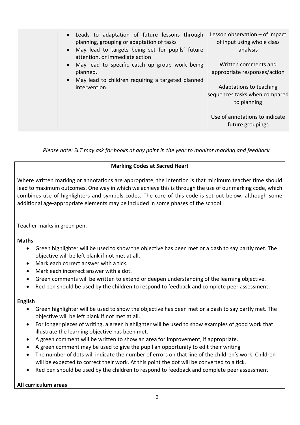| • Leads to adaptation of future lessons through<br>planning, grouping or adaptation of tasks<br>May lead to targets being set for pupils' future<br>attention, or immediate action | Lesson observation $-$ of impact<br>of input using whole class<br>analysis |
|------------------------------------------------------------------------------------------------------------------------------------------------------------------------------------|----------------------------------------------------------------------------|
| May lead to specific catch up group work being<br>planned.<br>May lead to children requiring a targeted planned                                                                    | Written comments and<br>appropriate responses/action                       |
| intervention.                                                                                                                                                                      | Adaptations to teaching<br>sequences tasks when compared<br>to planning    |
|                                                                                                                                                                                    | Use of annotations to indicate<br>future groupings                         |

*Please note: SLT may ask for books at any point in the year to monitor marking and feedback.*

# **Marking Codes at Sacred Heart**

Where written marking or annotations are appropriate, the intention is that minimum teacher time should lead to maximum outcomes. One way in which we achieve this is through the use of our marking code, which combines use of highlighters and symbols codes. The core of this code is set out below, although some additional age-appropriate elements may be included in some phases of the school.

Teacher marks in green pen.

# **Maths**

- Green highlighter will be used to show the objective has been met or a dash to say partly met. The objective will be left blank if not met at all.
- Mark each correct answer with a tick.
- Mark each incorrect answer with a dot.
- Green comments will be written to extend or deepen understanding of the learning objective.
- Red pen should be used by the children to respond to feedback and complete peer assessment.

# **English**

- Green highlighter will be used to show the objective has been met or a dash to say partly met. The objective will be left blank if not met at all.
- For longer pieces of writing, a green highlighter will be used to show examples of good work that illustrate the learning objective has been met.
- A green comment will be written to show an area for improvement, if appropriate.
- A green comment may be used to give the pupil an opportunity to edit their writing
- The number of dots will indicate the number of errors on that line of the children's work. Children will be expected to correct their work. At this point the dot will be converted to a tick.
- Red pen should be used by the children to respond to feedback and complete peer assessment

# **All curriculum areas**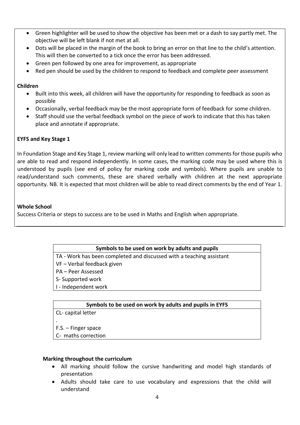- Green highlighter will be used to show the objective has been met or a dash to say partly met. The objective will be left blank if not met at all.
- Dots will be placed in the margin of the book to bring an error on that line to the child's attention. This will then be converted to a tick once the error has been addressed.
- Green pen followed by one area for improvement, as appropriate
- Red pen should be used by the children to respond to feedback and complete peer assessment

# **Children**

- Built into this week, all children will have the opportunity for responding to feedback as soon as possible
- Occasionally, verbal feedback may be the most appropriate form of feedback for some children.
- Staff should use the verbal feedback symbol on the piece of work to indicate that this has taken place and annotate if appropriate.

# **EYFS and Key Stage 1**

In Foundation Stage and Key Stage 1, review marking will only lead to written comments for those pupils who are able to read and respond independently. In some cases, the marking code may be used where this is understood by pupils (see end of policy for marking code and symbols). Where pupils are unable to read/understand such comments, these are shared verbally with children at the next appropriate opportunity. NB. It is expected that most children will be able to read direct comments by the end of Year 1.

#### **Whole School**

Success Criteria or steps to success are to be used in Maths and English when appropriate.

# **Symbols to be used on work by adults and pupils**

TA - Work has been completed and discussed with a teaching assistant

- VF Verbal feedback given
- PA Peer Assessed
- S- Supported work
- I Independent work

# **Symbols to be used on work by adults and pupils in EYFS**

CL- capital letter

. F.S. – Finger space

C- maths correction

#### **Marking throughout the curriculum**

- All marking should follow the cursive handwriting and model high standards of presentation
- Adults should take care to use vocabulary and expressions that the child will understand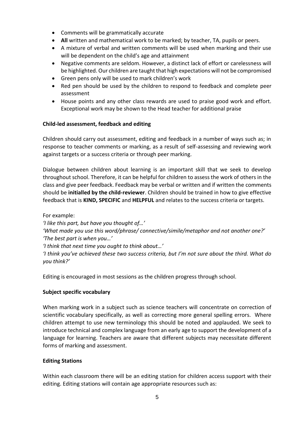- Comments will be grammatically accurate
- **All** written and mathematical work to be marked; by teacher, TA, pupils or peers.
- A mixture of verbal and written comments will be used when marking and their use will be dependent on the child's age and attainment
- Negative comments are seldom. However, a distinct lack of effort or carelessness will be highlighted. Our children are taught that high expectations will not be compromised
- Green pens only will be used to mark children's work
- Red pen should be used by the children to respond to feedback and complete peer assessment
- House points and any other class rewards are used to praise good work and effort. Exceptional work may be shown to the Head teacher for additional praise

# **Child-led assessment, feedback and editing**

Children should carry out assessment, editing and feedback in a number of ways such as; in response to teacher comments or marking, as a result of self-assessing and reviewing work against targets or a success criteria or through peer marking.

Dialogue between children about learning is an important skill that we seek to develop throughout school. Therefore, it can be helpful for children to assess the work of others in the class and give peer feedback. Feedback may be verbal or written and if written the comments should be **initialled by the child-reviewer**. Children should be trained in how to give effective feedback that is **KIND, SPECIFIC** and **HELPFUL** and relates to the success criteria or targets.

For example:

*'I like this part, but have you thought of…' 'What made you use this word/phrase/ connective/simile/metaphor and not another one?' 'The best part is when you…' 'I think that next time you ought to think about…'* 

*'I think you've achieved these two success criteria, but I'm not sure about the third. What do you think?'*

Editing is encouraged in most sessions as the children progress through school.

# **Subject specific vocabulary**

When marking work in a subject such as science teachers will concentrate on correction of scientific vocabulary specifically, as well as correcting more general spelling errors. Where children attempt to use new terminology this should be noted and applauded. We seek to introduce technical and complex language from an early age to support the development of a language for learning. Teachers are aware that different subjects may necessitate different forms of marking and assessment.

# **Editing Stations**

Within each classroom there will be an editing station for children access support with their editing. Editing stations will contain age appropriate resources such as: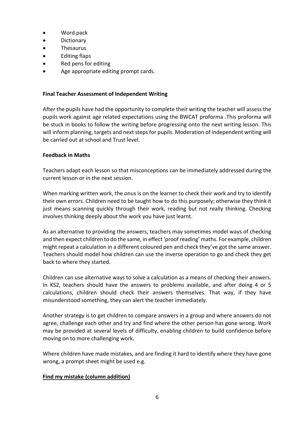- Word pack
- Dictionary
- Thesaurus
- Editing flaps
- Red pens for editing
- Age appropriate editing prompt cards.

#### **Final Teacher Assessment of Independent Writing**

After the pupils have had the opportunity to complete their writing the teacher will assess the pupils work against age related expectations using the BWCAT proforma .This proforma will be stuck in books to follow the writing before progressing onto the next writing lesson. This will inform planning, targets and next steps for pupils. Moderation of independent writing will be carried out at school and Trust level.

#### **Feedback in Maths**

Teachers adapt each lesson so that misconceptions can be immediately addressed during the current lesson or in the next session.

When marking written work, the onus is on the learner to check their work and try to identify their own errors. Children need to be taught how to do this purposely; otherwise they think it just means scanning quickly through their work, reading but not really thinking. Checking involves thinking deeply about the work you have just learnt.

As an alternative to providing the answers, teachers may sometimes model ways of checking and then expect children to do the same, in effect 'proof reading' maths. For example, children might repeat a calculation in a different coloured pen and check they've got the same answer. Teachers should model how children can use the inverse operation to go and check they get back to where they started.

Children can use alternative ways to solve a calculation as a means of checking their answers. In KS2, teachers should have the answers to problems available, and after doing 4 or 5 calculations, children should check their answers themselves. That way, if they have misunderstood something, they can alert the teacher immediately.

Another strategy is to get children to compare answers in a group and where answers do not agree, challenge each other and try and find where the other person has gone wrong. Work may be provided at several levels of difficulty, enabling children to build confidence before moving on to more challenging work.

Where children have made mistakes, and are finding it hard to identify where they have gone wrong, a prompt sheet might be used e.g.

# **Find my mistake (column addition)**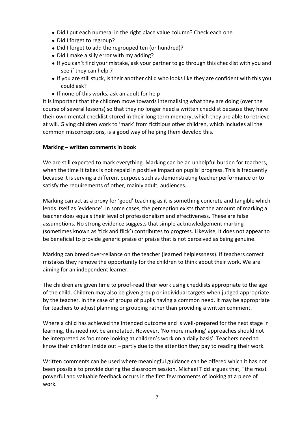- Did I put each numeral in the right place value column? Check each one
- Did I forget to regroup?
- Did I forget to add the regrouped ten (or hundred)?
- Did I make a silly error with my adding?
- If you can't find your mistake, ask your partner to go through this checklist with you and see if they can help 7
- If you are still stuck, is their another child who looks like they are confident with this you could ask?
- If none of this works, ask an adult for help

It is important that the children move towards internalising what they are doing (over the course of several lessons) so that they no longer need a written checklist because they have their own mental checklist stored in their long term memory, which they are able to retrieve at will. Giving children work to 'mark' from fictitious other children, which includes all the common misconceptions, is a good way of helping them develop this.

# **Marking – written comments in book**

We are still expected to mark everything. Marking can be an unhelpful burden for teachers, when the time it takes is not repaid in positive impact on pupils' progress. This is frequently because it is serving a different purpose such as demonstrating teacher performance or to satisfy the requirements of other, mainly adult, audiences.

Marking can act as a proxy for 'good' teaching as it is something concrete and tangible which lends itself as 'evidence'. In some cases, the perception exists that the amount of marking a teacher does equals their level of professionalism and effectiveness. These are false assumptions. No strong evidence suggests that simple acknowledgement marking (sometimes known as 'tick and flick') contributes to progress. Likewise, it does not appear to be beneficial to provide generic praise or praise that is not perceived as being genuine.

Marking can breed over-reliance on the teacher (learned helplessness). If teachers correct mistakes they remove the opportunity for the children to think about their work. We are aiming for an independent learner.

The children are given time to proof-read their work using checklists appropriate to the age of the child. Children may also be given group or individual targets when judged appropriate by the teacher. In the case of groups of pupils having a common need, it may be appropriate for teachers to adjust planning or grouping rather than providing a written comment.

Where a child has achieved the intended outcome and is well-prepared for the next stage in learning, this need not be annotated. However, 'No more marking' approaches should not be interpreted as 'no more looking at children's work on a daily basis'. Teachers need to know their children inside out – partly due to the attention they pay to reading their work.

Written comments can be used where meaningful guidance can be offered which it has not been possible to provide during the classroom session. Michael Tidd argues that, "the most powerful and valuable feedback occurs in the first few moments of looking at a piece of work.